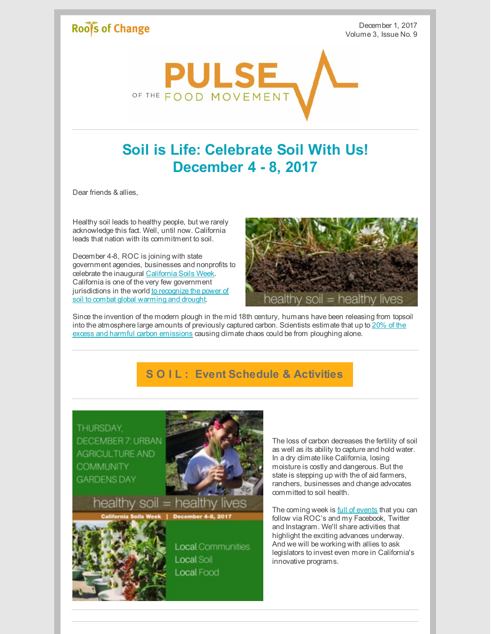## Roof's of Change

December 1, 2017 Volume 3, Issue No. 9



# **Soil is Life: Celebrate Soil With Us! December 4 - 8, 2017**

Dear friends & allies,

Healthy soil leads to healthy people, but we rarely acknowledge this fact. Well, until now. California leads that nation with its commitment to soil.

December 4-8, ROC is joining with state government agencies, businesses and nonprofits to celebrate the inaugural [California](https://www.cdfa.ca.gov/healthysoils/soilsweek.html) Soils Week. California is one of the very few government [jurisdictions](https://www.cdfa.ca.gov/healthysoils/#ca) in the world to recognize the power of soil to combat global warming and drought.



Since the invention of the modern plough in the mid 18th century, humans have been releasing from topsoil into the [atmosphere](https://www.mnn.com/earth-matters/climate-weather/stories/can-soil-help-us-stop-global-warming) large amounts of previously captured carbon. Scientists estimate that up to 20% of the excess and harmful carbon emissions causing dimate chaos could be from ploughing alone.

# **S O I L : Event [Schedule](https://www.cdfa.ca.gov/healthysoils/soilsweek.html) & Activities**

THURSDAY. DECEMBER 7: URBAN AGRICULTURE AND **COMMUNITY GARDENS DAY** 

healthy soil = healthy lives



**December 4-8, 2017** 



**Local** Communities Local Soil Local Food

The loss of carbon decreases the fertility of soil as well as its ability to capture and hold water. In a dry climate like California, losing moisture is costly and dangerous. But the state is stepping up with the of aid farmers, ranchers, businesses and change advocates committed to soil health.

The coming week is full of [events](https://www.cdfa.ca.gov/healthysoils/soilsweek.html) that you can follow via ROC's and my Facebook, Twitter and Instagram. We'll share activities that highlight the exciting advances underway. And we will be working with allies to ask legislators to invest even more in California's innovative programs.